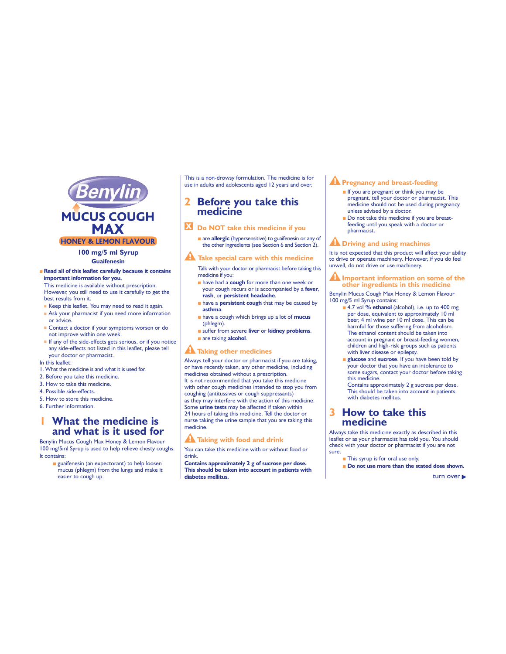

#### **100 mg/5 ml Syrup Guaifenesin**

#### ■ Read all of this leaflet carefully because it contains **important information for you.**

This medicine is available without prescription. However, you still need to use it carefully to get the best results from it.

- $\blacksquare$  Keep this leaflet. You may need to read it again.
- Ask your pharmacist if you need more information or advice.
- Contact a doctor if your symptoms worsen or do not improve within one week.
- If any of the side-effects gets serious, or if you notice any side-effects not listed in this leaflet, please tell your doctor or pharmacist.
- In this leaflet:
- 1. What the medicine is and what it is used for.
- 2. Before you take this medicine.
- 3. How to take this medicine.
- 4. Possible side-effects.
- 5. How to store this medicine.
- 6. Further information.

# **What the medicine is and what is it used for**

Benylin Mucus Cough Max Honey & Lemon Flavour 100 mg/5ml Syrup is used to help relieve chesty coughs. It contains:

 $\blacksquare$  guaifenesin (an expectorant) to help loosen mucus (phlegm) from the lungs and make it easier to cough up.

This is a non-drowsy formulation. The medicine is for use in adults and adolescents aged 12 years and over.

## **2 Before you take this medicine**

 **Do NOT take this medicine if you**

**a** are **allergic** (hypersensitive) to guaifenesin or any of the other ingredients (see Section 6 and Section 2).

**A** Take special care with this medicine

Talk with your doctor or pharmacist before taking this medicine if you:

- **have had a cough for more than one week or** your cough recurs or is accompanied by a **fever**, **rash**, or **persistent headache**.
- **have a persistent cough** that may be caused by **asthma**.
- **have a cough which brings up a lot of mucus** (phlegm).
- <sup>Q</sup> suffer from severe **liver** or **kidney problems**. **a** are taking **alcohol**.

#### **A Taking other medicines**

Always tell your doctor or pharmacist if you are taking, or have recently taken, any other medicine, including medicines obtained without a prescription. It is not recommended that you take this medicine with other cough medicines intended to stop you from coughing (antitussives or cough suppressants) as they may interfere with the action of this medicine. Some **urine tests** may be affected if taken within 24 hours of taking this medicine. Tell the doctor or nurse taking the urine sample that you are taking this medicine.

## **Taking with food and drink**

You can take this medicine with or without food or drink.

**Contains approximately 2 g of sucrose per dose. This should be taken into account in patients with diabetes mellitus.** 

## **A** Pregnancy and breast-feeding

- $\blacksquare$  If you are pregnant or think you may be pregnant, tell your doctor or pharmacist. This medicine should not be used during pregnancy unless advised by a doctor.
- Do not take this medicine if you are breastfeeding until you speak with a doctor or pharmacist.

#### **A Driving and using machines**

It is not expected that this product will affect your ability to drive or operate machinery. However, if you do feel unwell, do not drive or use machinery.

#### **Important information on some of the other ingredients in this medicine**

Benylin Mucus Cough Max Honey & Lemon Flavour 100 mg/5 ml Syrup contains:

- 4.7 vol % **ethanol** (alcohol), i.e. up to 400 mg per dose, equivalent to approximately 10 ml beer, 4 ml wine per 10 ml dose. This can be harmful for those suffering from alcoholism. The ethanol content should be taken into account in pregnant or breast-feeding women, children and high-risk groups such as patients with liver disease or epilepsy.
- **glucose** and **sucrose**. If you have been told by your doctor that you have an intolerance to .<br>some sugars, contact your doctor before taking this medicine.

Contains approximately 2 g sucrose per dose. This should be taken into account in patients with diabetes mellitus.

## **3 How to take this medicine**

Always take this medicine exactly as described in this leaflet or as your pharmacist has told you. You should check with your doctor or pharmacist if you are not sure.

- This syrup is for oral use only
- **B** Do not use more than the stated dose shown.

turn over **b**